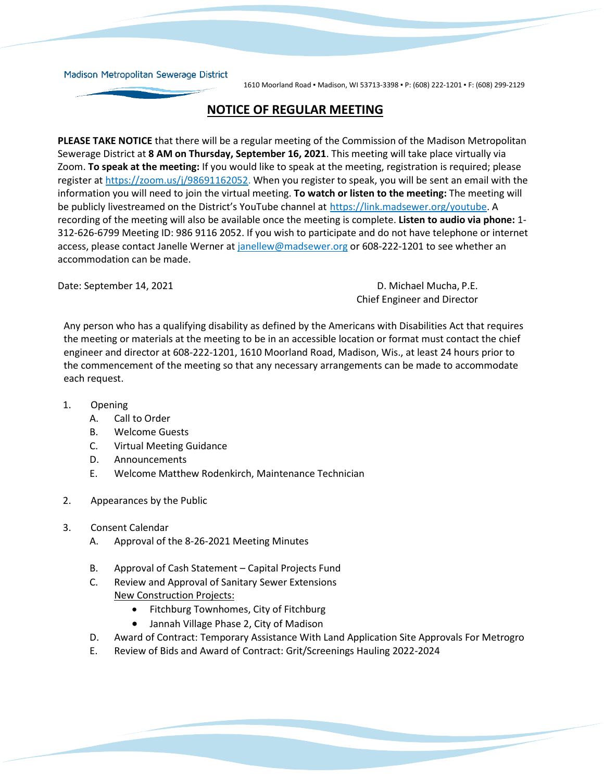## Madison Metropolitan Sewerage District

1610 Moorland Road ▪ Madison, WI 53713-3398 ▪ P: (608) 222-1201 ▪ F: (608) 299-2129

## **NOTICE OF REGULAR MEETING**

**PLEASE TAKE NOTICE** that there will be a regular meeting of the Commission of the Madison Metropolitan Sewerage District at **8 AM on Thursday, September 16, 2021**. This meeting will take place virtually via Zoom. **To speak at the meeting:** If you would like to speak at the meeting, registration is required; please register at [https://zoom.us/j/98691162052.](https://zoom.us/j/98691162052) When you register to speak, you will be sent an email with the information you will need to join the virtual meeting. **To watch or listen to the meeting:** The meeting will be publicly livestreamed on the District's YouTube channel at [https://link.madsewer.org/youtube.](https://link.madsewer.org/youtube) A recording of the meeting will also be available once the meeting is complete. **Listen to audio via phone:** 1- 312-626-6799 Meeting ID: 986 9116 2052. If you wish to participate and do not have telephone or internet access, please contact Janelle Werner at [janellew@madsewer.org](mailto:janellew@madsewer.org) or 608-222-1201 to see whether an accommodation can be made.

Date: September 14, 2021 **D.** Michael Mucha, P.E. Chief Engineer and Director

Any person who has a qualifying disability as defined by the Americans with Disabilities Act that requires the meeting or materials at the meeting to be in an accessible location or format must contact the chief engineer and director at 608-222-1201, 1610 Moorland Road, Madison, Wis., at least 24 hours prior to the commencement of the meeting so that any necessary arrangements can be made to accommodate each request.

- 1. Opening
	- A. Call to Order
	- B. Welcome Guests
	- C. Virtual Meeting Guidance
	- D. Announcements
	- E. Welcome Matthew Rodenkirch, Maintenance Technician
- 2. Appearances by the Public
- 3. Consent Calendar
	- A. Approval of the 8-26-2021 Meeting Minutes
	- B. Approval of Cash Statement Capital Projects Fund
	- C. Review and Approval of Sanitary Sewer Extensions New Construction Projects:
		- Fitchburg Townhomes, City of Fitchburg
		- Jannah Village Phase 2, City of Madison
	- D. Award of Contract: Temporary Assistance With Land Application Site Approvals For Metrogro
	- E. Review of Bids and Award of Contract: Grit/Screenings Hauling 2022-2024